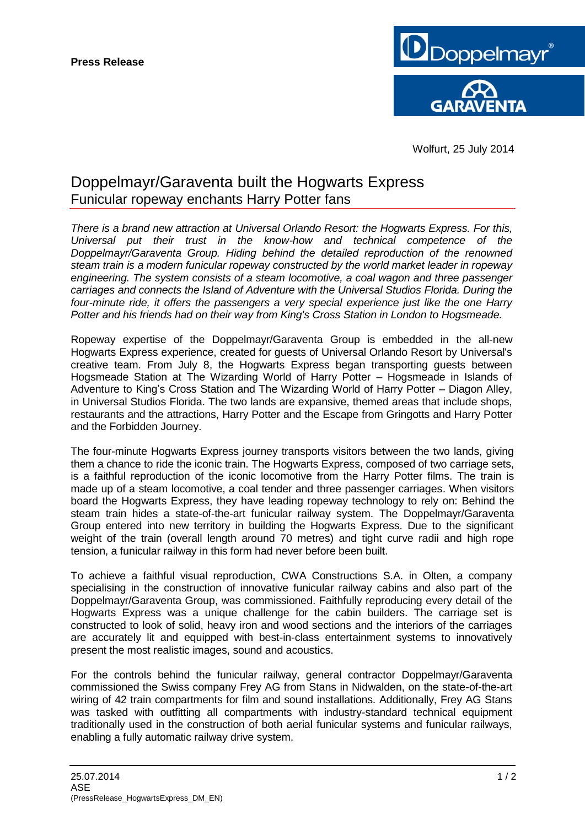

Wolfurt, 25 July 2014

## Doppelmayr/Garaventa built the Hogwarts Express Funicular ropeway enchants Harry Potter fans

*There is a brand new attraction at Universal Orlando Resort: the Hogwarts Express. For this, Universal put their trust in the know-how and technical competence of the Doppelmayr/Garaventa Group. Hiding behind the detailed reproduction of the renowned steam train is a modern funicular ropeway constructed by the world market leader in ropeway engineering. The system consists of a steam locomotive, a coal wagon and three passenger carriages and connects the Island of Adventure with the Universal Studios Florida. During the four-minute ride, it offers the passengers a very special experience just like the one Harry Potter and his friends had on their way from King's Cross Station in London to Hogsmeade.*

Ropeway expertise of the Doppelmayr/Garaventa Group is embedded in the all-new Hogwarts Express experience, created for guests of Universal Orlando Resort by Universal's creative team. From July 8, the Hogwarts Express began transporting guests between Hogsmeade Station at The Wizarding World of Harry Potter – Hogsmeade in Islands of Adventure to King's Cross Station and The Wizarding World of Harry Potter – Diagon Alley, in Universal Studios Florida. The two lands are expansive, themed areas that include shops, restaurants and the attractions, Harry Potter and the Escape from Gringotts and Harry Potter and the Forbidden Journey.

The four-minute Hogwarts Express journey transports visitors between the two lands, giving them a chance to ride the iconic train. The Hogwarts Express, composed of two carriage sets, is a faithful reproduction of the iconic locomotive from the Harry Potter films. The train is made up of a steam locomotive, a coal tender and three passenger carriages. When visitors board the Hogwarts Express, they have leading ropeway technology to rely on: Behind the steam train hides a state-of-the-art funicular railway system. The Doppelmayr/Garaventa Group entered into new territory in building the Hogwarts Express. Due to the significant weight of the train (overall length around 70 metres) and tight curve radii and high rope tension, a funicular railway in this form had never before been built.

To achieve a faithful visual reproduction, CWA Constructions S.A. in Olten, a company specialising in the construction of innovative funicular railway cabins and also part of the Doppelmayr/Garaventa Group, was commissioned. Faithfully reproducing every detail of the Hogwarts Express was a unique challenge for the cabin builders. The carriage set is constructed to look of solid, heavy iron and wood sections and the interiors of the carriages are accurately lit and equipped with best-in-class entertainment systems to innovatively present the most realistic images, sound and acoustics.

For the controls behind the funicular railway, general contractor Doppelmayr/Garaventa commissioned the Swiss company Frey AG from Stans in Nidwalden, on the state-of-the-art wiring of 42 train compartments for film and sound installations. Additionally, Frey AG Stans was tasked with outfitting all compartments with industry-standard technical equipment traditionally used in the construction of both aerial funicular systems and funicular railways, enabling a fully automatic railway drive system.